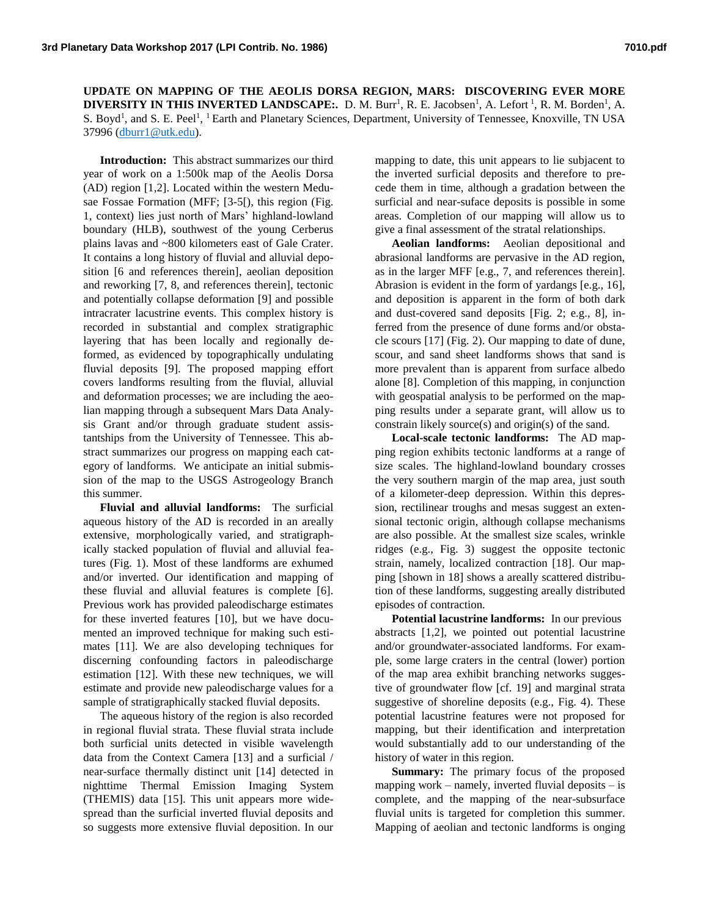**UPDATE ON MAPPING OF THE AEOLIS DORSA REGION, MARS: DISCOVERING EVER MORE DIVERSITY IN THIS INVERTED LANDSCAPE:.** D. M. Burr<sup>1</sup>, R. E. Jacobsen<sup>1</sup>, A. Lefort<sup>1</sup>, R. M. Borden<sup>1</sup>, A. S. Boyd<sup>1</sup>, and S. E. Peel<sup>1</sup>, <sup>1</sup> Earth and Planetary Sciences, Department, University of Tennessee, Knoxville, TN USA 37996 [\(dburr1@utk.edu\)](mailto:dburr1@utk.edu).

**Introduction:** This abstract summarizes our third year of work on a 1:500k map of the Aeolis Dorsa (AD) region [1,2]. Located within the western Medusae Fossae Formation (MFF; [3-5[), this region (Fig. 1, context) lies just north of Mars' highland-lowland boundary (HLB), southwest of the young Cerberus plains lavas and ~800 kilometers east of Gale Crater. It contains a long history of fluvial and alluvial deposition [6 and references therein], aeolian deposition and reworking [7, 8, and references therein], tectonic and potentially collapse deformation [9] and possible intracrater lacustrine events. This complex history is recorded in substantial and complex stratigraphic layering that has been locally and regionally deformed, as evidenced by topographically undulating fluvial deposits [9]. The proposed mapping effort covers landforms resulting from the fluvial, alluvial and deformation processes; we are including the aeolian mapping through a subsequent Mars Data Analysis Grant and/or through graduate student assistantships from the University of Tennessee. This abstract summarizes our progress on mapping each category of landforms. We anticipate an initial submission of the map to the USGS Astrogeology Branch this summer.

**Fluvial and alluvial landforms:** The surficial aqueous history of the AD is recorded in an areally extensive, morphologically varied, and stratigraphically stacked population of fluvial and alluvial features (Fig. 1). Most of these landforms are exhumed and/or inverted. Our identification and mapping of these fluvial and alluvial features is complete [6]. Previous work has provided paleodischarge estimates for these inverted features [10], but we have documented an improved technique for making such estimates [11]. We are also developing techniques for discerning confounding factors in paleodischarge estimation [12]. With these new techniques, we will estimate and provide new paleodischarge values for a sample of stratigraphically stacked fluvial deposits.

The aqueous history of the region is also recorded in regional fluvial strata. These fluvial strata include both surficial units detected in visible wavelength data from the Context Camera [13] and a surficial / near-surface thermally distinct unit [14] detected in nighttime Thermal Emission Imaging System (THEMIS) data [15]. This unit appears more widespread than the surficial inverted fluvial deposits and so suggests more extensive fluvial deposition. In our mapping to date, this unit appears to lie subjacent to the inverted surficial deposits and therefore to precede them in time, although a gradation between the surficial and near-suface deposits is possible in some areas. Completion of our mapping will allow us to give a final assessment of the stratal relationships.

**Aeolian landforms:** Aeolian depositional and abrasional landforms are pervasive in the AD region, as in the larger MFF [e.g., 7, and references therein]. Abrasion is evident in the form of yardangs [e.g., 16], and deposition is apparent in the form of both dark and dust-covered sand deposits [Fig. 2; e.g., 8], inferred from the presence of dune forms and/or obstacle scours [17] (Fig. 2). Our mapping to date of dune, scour, and sand sheet landforms shows that sand is more prevalent than is apparent from surface albedo alone [8]. Completion of this mapping, in conjunction with geospatial analysis to be performed on the mapping results under a separate grant, will allow us to constrain likely source(s) and origin(s) of the sand.

**Local-scale tectonic landforms:** The AD mapping region exhibits tectonic landforms at a range of size scales. The highland-lowland boundary crosses the very southern margin of the map area, just south of a kilometer-deep depression. Within this depression, rectilinear troughs and mesas suggest an extensional tectonic origin, although collapse mechanisms are also possible. At the smallest size scales, wrinkle ridges (e.g., Fig. 3) suggest the opposite tectonic strain, namely, localized contraction [18]. Our mapping [shown in 18] shows a areally scattered distribution of these landforms, suggesting areally distributed episodes of contraction.

**Potential lacustrine landforms:** In our previous abstracts [1,2], we pointed out potential lacustrine and/or groundwater-associated landforms. For example, some large craters in the central (lower) portion of the map area exhibit branching networks suggestive of groundwater flow [cf. 19] and marginal strata suggestive of shoreline deposits (e.g., Fig. 4). These potential lacustrine features were not proposed for mapping, but their identification and interpretation would substantially add to our understanding of the history of water in this region.

**Summary:** The primary focus of the proposed mapping work – namely, inverted fluvial deposits – is complete, and the mapping of the near-subsurface fluvial units is targeted for completion this summer. Mapping of aeolian and tectonic landforms is onging